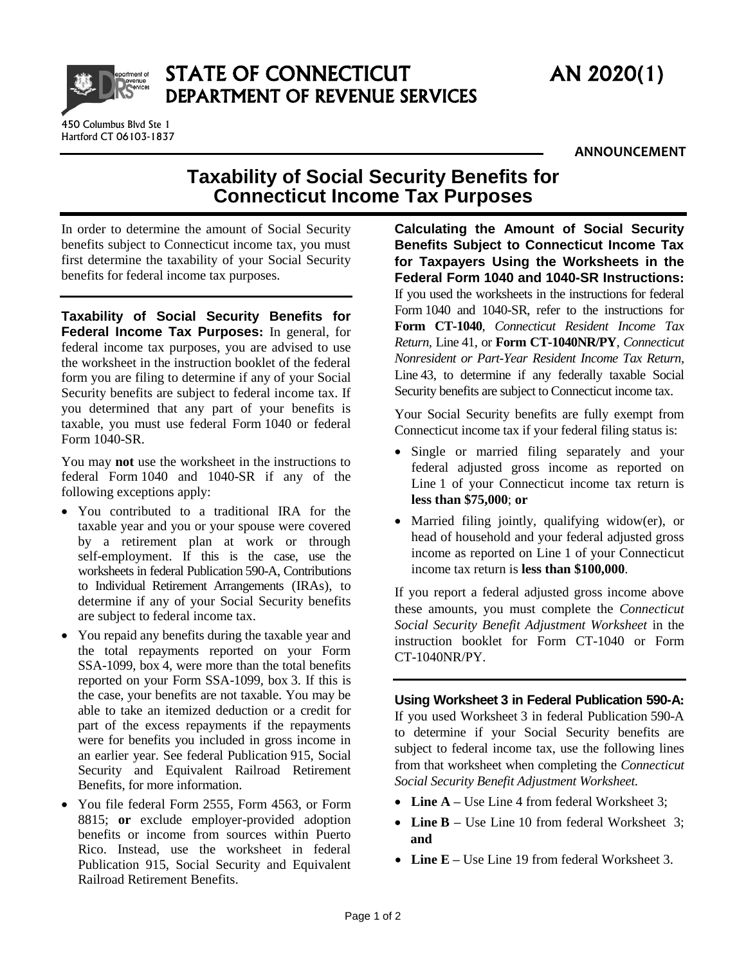

STATE OF CONNECTICUT AN 2020(1) DEPARTMENT OF REVENUE SERVICES

450 Columbus Blvd Ste 1 Hartford CT 06103-1837

## **Taxability of Social Security Benefits for Connecticut Income Tax Purposes**

In order to determine the amount of Social Security benefits subject to Connecticut income tax, you must first determine the taxability of your Social Security benefits for federal income tax purposes.

**Taxability of Social Security Benefits for Federal Income Tax Purposes:** In general, for federal income tax purposes, you are advised to use the worksheet in the instruction booklet of the federal form you are filing to determine if any of your Social Security benefits are subject to federal income tax. If you determined that any part of your benefits is taxable, you must use federal Form 1040 or federal Form 1040-SR.

You may **not** use the worksheet in the instructions to federal Form 1040 and 1040-SR if any of the following exceptions apply:

- You contributed to a traditional IRA for the taxable year and you or your spouse were covered by a retirement plan at work or through self-employment. If this is the case, use the worksheets in federal Publication 590-A, Contributions to Individual Retirement Arrangements (IRAs), to determine if any of your Social Security benefits are subject to federal income tax.
- You repaid any benefits during the taxable year and the total repayments reported on your Form SSA-1099, box 4, were more than the total benefits reported on your Form SSA-1099, box 3. If this is the case, your benefits are not taxable. You may be able to take an itemized deduction or a credit for part of the excess repayments if the repayments were for benefits you included in gross income in an earlier year. See federal Publication 915, Social Security and Equivalent Railroad Retirement Benefits, for more information.
- You file federal Form 2555, Form 4563, or Form 8815; **or** exclude employer-provided adoption benefits or income from sources within Puerto Rico. Instead, use the worksheet in federal Publication 915, Social Security and Equivalent Railroad Retirement Benefits.

**Calculating the Amount of Social Security Benefits Subject to Connecticut Income Tax for Taxpayers Using the Worksheets in the Federal Form 1040 and 1040-SR Instructions:** If you used the worksheets in the instructions for federal Form 1040 and 1040-SR, refer to the instructions for **Form CT-1040**, *Connecticut Resident Income Tax Return,* Line 41, or **Form CT-1040NR/PY**, *Connecticut Nonresident or Part-Year Resident Income Tax Return,*  Line 43, to determine if any federally taxable Social Security benefits are subject to Connecticut income tax.

Your Social Security benefits are fully exempt from Connecticut income tax if your federal filing status is:

- Single or married filing separately and your federal adjusted gross income as reported on Line 1 of your Connecticut income tax return is **less than \$75,000**; **or**
- Married filing jointly, qualifying widow(er), or head of household and your federal adjusted gross income as reported on Line 1 of your Connecticut income tax return is **less than \$100,000**.

If you report a federal adjusted gross income above these amounts, you must complete the *Connecticut Social Security Benefit Adjustment Worksheet* in the instruction booklet for Form CT-1040 or Form CT-1040NR/PY.

**Using Worksheet 3 in Federal Publication 590-A:** If you used Worksheet 3 in federal Publication 590-A to determine if your Social Security benefits are subject to federal income tax, use the following lines from that worksheet when completing the *Connecticut Social Security Benefit Adjustment Worksheet.*

- Line  $A$  Use Line 4 from federal Worksheet 3;
- Line **B** Use Line 10 from federal Worksheet 3; **and**
- **Line E –** Use Line 19 from federal Worksheet 3.